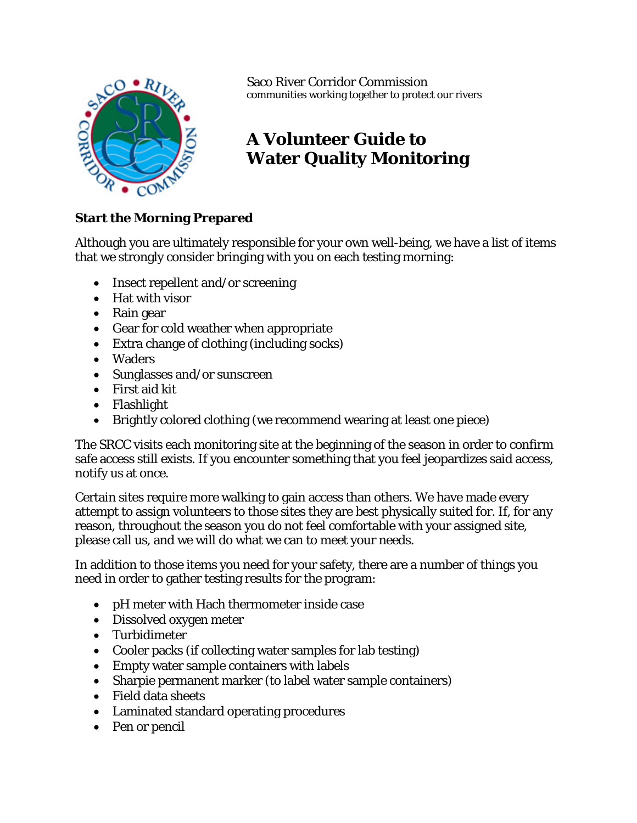

Saco River Corridor Commission communities working together to protect our rivers

## **A Volunteer Guide to Water Quality Monitoring**

## **Start the Morning Prepared**

Although you are ultimately responsible for your own well-being, we have a list of items that we strongly consider bringing with you on each testing morning:

- Insect repellent and/or screening
- Hat with visor
- Rain gear
- Gear for cold weather when appropriate
- Extra change of clothing (including socks)
- Waders
- Sunglasses and/or sunscreen
- First aid kit
- Flashlight
- Brightly colored clothing (we recommend wearing at least one piece)

The SRCC visits each monitoring site at the beginning of the season in order to confirm safe access still exists. If you encounter something that you feel jeopardizes said access, notify us at once.

Certain sites require more walking to gain access than others. We have made every attempt to assign volunteers to those sites they are best physically suited for. If, for any reason, throughout the season you do not feel comfortable with your assigned site, please call us, and we will do what we can to meet your needs.

In addition to those items you need for your safety, there are a number of things you need in order to gather testing results for the program:

- pH meter with Hach thermometer inside case
- Dissolved oxygen meter
- Turbidimeter
- Cooler packs (if collecting water samples for lab testing)
- Empty water sample containers with labels
- Sharpie permanent marker (to label water sample containers)
- Field data sheets
- Laminated standard operating procedures
- Pen or pencil